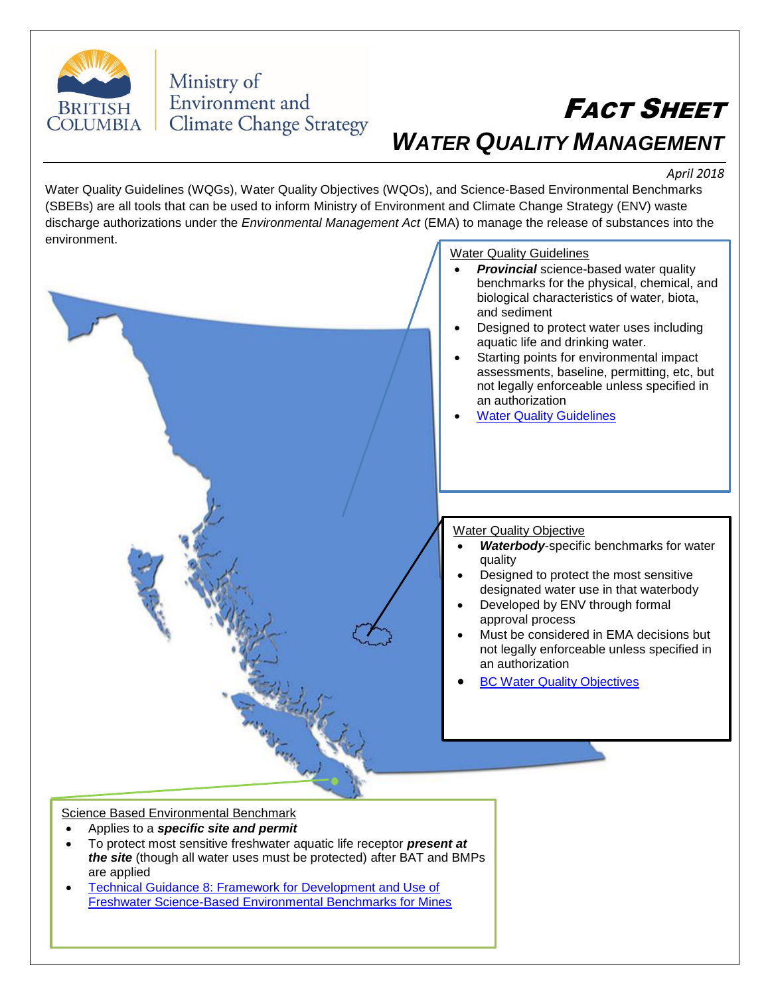

## Ministry of Environment and **Climate Change Strategy**

## FACT SHEET *WATER QUALITY MANAGEMENT*

*April 2018*

Water Quality Guidelines (WQGs), Water Quality Objectives (WQOs), and Science-Based Environmental Benchmarks (SBEBs) are all tools that can be used to inform Ministry of Environment and Climate Change Strategy (ENV) waste discharge authorizations under the *Environmental Management Act* (EMA) to manage the release of substances into the environment.



## Science Based Environmental Benchmark

- Applies to a *specific site and permit*
- To protect most sensitive freshwater aquatic life receptor *present at the site* (though all water uses must be protected) after BAT and BMPs are applied
- [Technical Guidance 8: Framework for Development and Use of](https://www2.gov.bc.ca/assets/download/848CCB2C53B94456A1E2CCB46C776D30)  [Freshwater Science-Based Environmental Benchmarks for Mines](https://www2.gov.bc.ca/assets/download/848CCB2C53B94456A1E2CCB46C776D30)